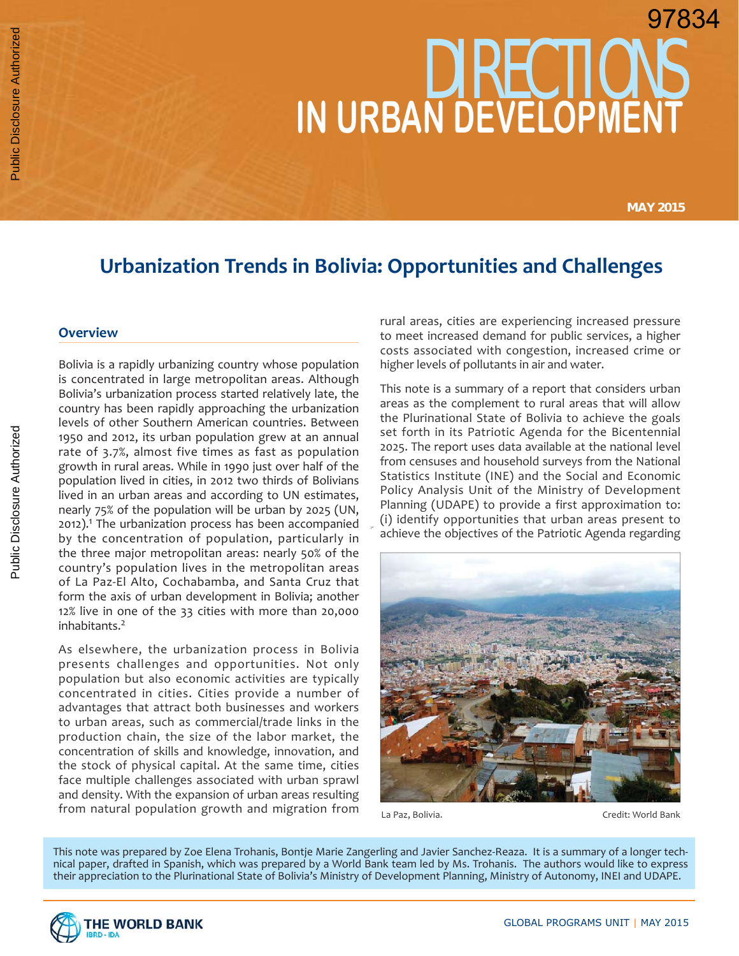# DIRECTIONS **IN URBAN DEVELOPMENT** 97834

**MAY 2015**

# **Urbanization Trends in Bolivia: Opportunities and Challenges**

#### **Overview**

Bolivia is a rapidly urbanizing country whose population is concentrated in large metropolitan areas. Although Bolivia's urbanization process started relatively late, the country has been rapidly approaching the urbanization levels of other Southern American countries. Between 1950 and 2012, its urban population grew at an annual rate of 3.7%, almost five times as fast as population growth in rural areas. While in 1990 just over half of the population lived in cities, in 2012 two thirds of Bolivians lived in an urban areas and according to UN estimates, nearly 75% of the population will be urban by 2025 (UN, 2012).<sup>1</sup> The urbanization process has been accompanied by the concentration of population, particularly in the three major metropolitan areas: nearly 50% of the country's population lives in the metropolitan areas of La Paz-El Alto, Cochabamba, and Santa Cruz that form the axis of urban development in Bolivia; another 12% live in one of the 33 cities with more than 20,000 inhabitants.2

As elsewhere, the urbanization process in Bolivia presents challenges and opportunities. Not only population but also economic activities are typically concentrated in cities. Cities provide a number of advantages that attract both businesses and workers to urban areas, such as commercial/trade links in the production chain, the size of the labor market, the concentration of skills and knowledge, innovation, and the stock of physical capital. At the same time, cities face multiple challenges associated with urban sprawl and density. With the expansion of urban areas resulting from natural population growth and migration from

rural areas, cities are experiencing increased pressure to meet increased demand for public services, a higher costs associated with congestion, increased crime or higher levels of pollutants in air and water.

This note is a summary of a report that considers urban areas as the complement to rural areas that will allow the Plurinational State of Bolivia to achieve the goals set forth in its Patriotic Agenda for the Bicentennial 2025. The report uses data available at the national level from censuses and household surveys from the National Statistics Institute (INE) and the Social and Economic Policy Analysis Unit of the Ministry of Development Planning (UDAPE) to provide a first approximation to: (i) identify opportunities that urban areas present to achieve the objectives of the Patriotic Agenda regarding



La Paz, Bolivia. Channel Credit: World Bank

This note was prepared by Zoe Elena Trohanis, Bontje Marie Zangerling and Javier Sanchez-Reaza. It is a summary of a longer technical paper, drafted in Spanish, which was prepared by a World Bank team led by Ms. Trohanis. The authors would like to express their appreciation to the Plurinational State of Bolivia's Ministry of Development Planning, Ministry of Autonomy, INEI and UDAPE.

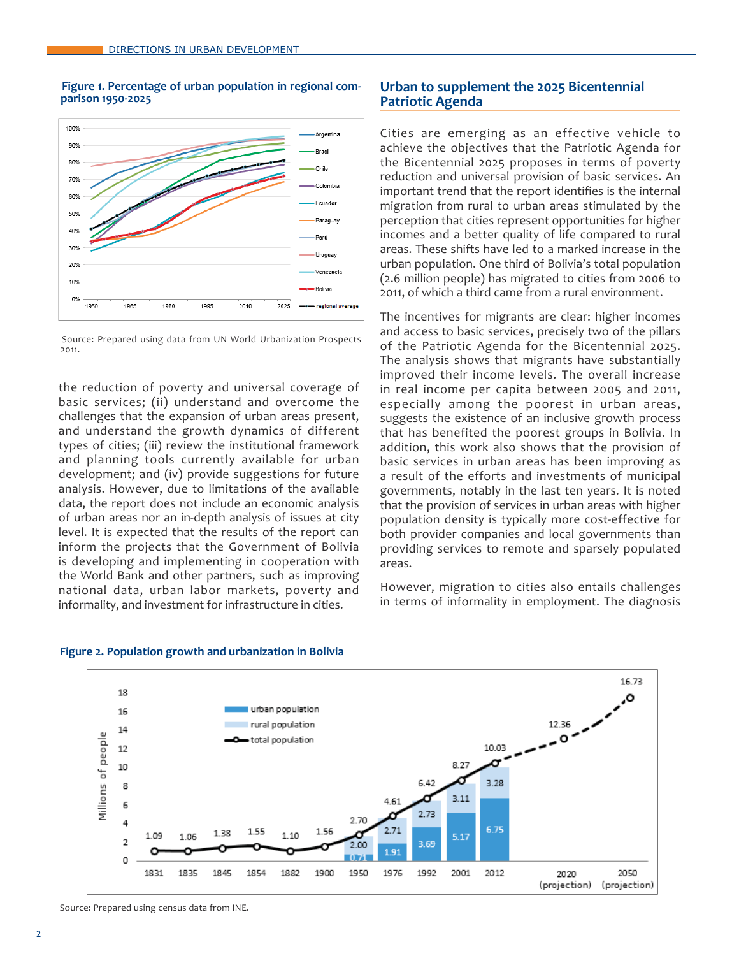



Source: Prepared using data from UN World Urbanization Prospects 2011.

the reduction of poverty and universal coverage of basic services; (ii) understand and overcome the challenges that the expansion of urban areas present, and understand the growth dynamics of different types of cities; (iii) review the institutional framework and planning tools currently available for urban development; and (iv) provide suggestions for future analysis. However, due to limitations of the available data, the report does not include an economic analysis of urban areas nor an in-depth analysis of issues at city level. It is expected that the results of the report can inform the projects that the Government of Bolivia is developing and implementing in cooperation with the World Bank and other partners, such as improving national data, urban labor markets, poverty and informality, and investment for infrastructure in cities.

# **Urban to supplement the 2025 Bicentennial Patriotic Agenda**

Cities are emerging as an effective vehicle to achieve the objectives that the Patriotic Agenda for the Bicentennial 2025 proposes in terms of poverty reduction and universal provision of basic services. An important trend that the report identifies is the internal migration from rural to urban areas stimulated by the perception that cities represent opportunities for higher incomes and a better quality of life compared to rural areas. These shifts have led to a marked increase in the urban population. One third of Bolivia's total population (2.6 million people) has migrated to cities from 2006 to 2011, of which a third came from a rural environment.

The incentives for migrants are clear: higher incomes and access to basic services, precisely two of the pillars of the Patriotic Agenda for the Bicentennial 2025. The analysis shows that migrants have substantially improved their income levels. The overall increase in real income per capita between 2005 and 2011, especially among the poorest in urban areas, suggests the existence of an inclusive growth process that has benefited the poorest groups in Bolivia. In addition, this work also shows that the provision of basic services in urban areas has been improving as a result of the efforts and investments of municipal governments, notably in the last ten years. It is noted that the provision of services in urban areas with higher population density is typically more cost-effective for both provider companies and local governments than providing services to remote and sparsely populated areas.

However, migration to cities also entails challenges in terms of informality in employment. The diagnosis



#### **Figure 2. Population growth and urbanization in Bolivia**

Source: Prepared using census data from INE.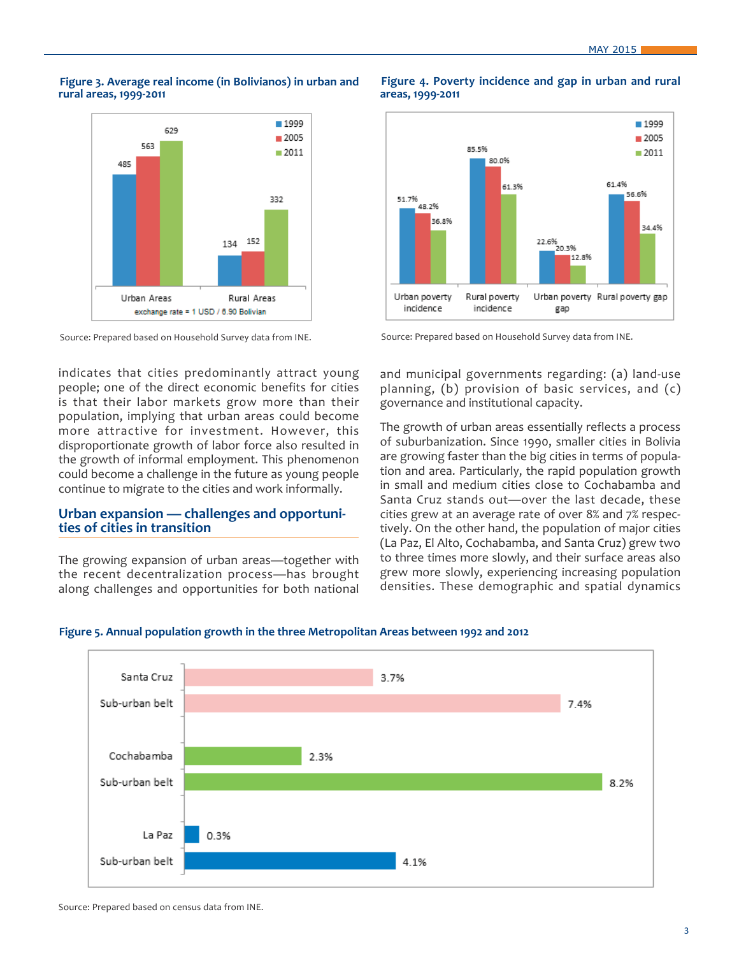#### **Figure 3. Average real income (in Bolivianos) in urban and rural areas, 1999-2011**



Source: Prepared based on Household Survey data from INE.

indicates that cities predominantly attract young people; one of the direct economic benefits for cities is that their labor markets grow more than their population, implying that urban areas could become more attractive for investment. However, this disproportionate growth of labor force also resulted in the growth of informal employment. This phenomenon could become a challenge in the future as young people continue to migrate to the cities and work informally.

## **Urban expansion — challenges and opportunities of cities in transition**

The growing expansion of urban areas—together with the recent decentralization process—has brought along challenges and opportunities for both national



**Figure 4. Poverty incidence and gap in urban and rural** 

**areas, 1999-2011**

Source: Prepared based on Household Survey data from INE.

and municipal governments regarding: (a) land-use planning, (b) provision of basic services, and (c) governance and institutional capacity.

The growth of urban areas essentially reflects a process of suburbanization. Since 1990, smaller cities in Bolivia are growing faster than the big cities in terms of population and area. Particularly, the rapid population growth in small and medium cities close to Cochabamba and Santa Cruz stands out—over the last decade, these cities grew at an average rate of over 8% and 7% respectively. On the other hand, the population of major cities (La Paz, El Alto, Cochabamba, and Santa Cruz) grew two to three times more slowly, and their surface areas also grew more slowly, experiencing increasing population densities. These demographic and spatial dynamics



#### **Figure 5. Annual population growth in the three Metropolitan Areas between 1992 and 2012**

Source: Prepared based on census data from INE.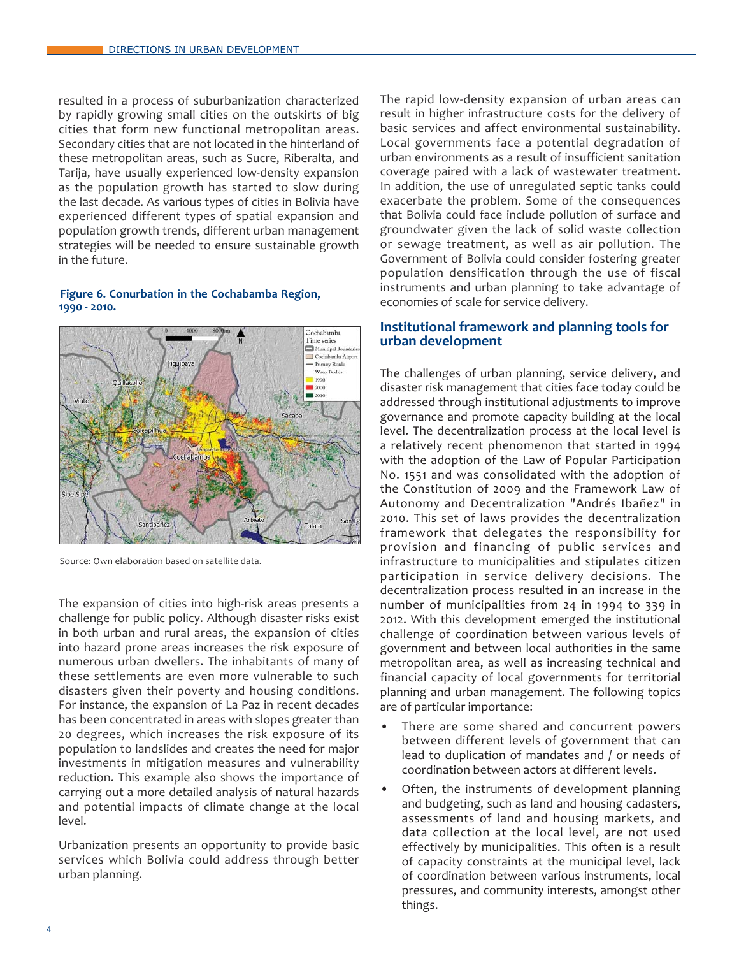resulted in a process of suburbanization characterized by rapidly growing small cities on the outskirts of big cities that form new functional metropolitan areas. Secondary cities that are not located in the hinterland of these metropolitan areas, such as Sucre, Riberalta, and Tarija, have usually experienced low-density expansion as the population growth has started to slow during the last decade. As various types of cities in Bolivia have experienced different types of spatial expansion and population growth trends, different urban management strategies will be needed to ensure sustainable growth in the future.

#### **Figure 6. Conurbation in the Cochabamba Region, 1990 - 2010.**



Source: Own elaboration based on satellite data.

The expansion of cities into high-risk areas presents a challenge for public policy. Although disaster risks exist in both urban and rural areas, the expansion of cities into hazard prone areas increases the risk exposure of numerous urban dwellers. The inhabitants of many of these settlements are even more vulnerable to such disasters given their poverty and housing conditions. For instance, the expansion of La Paz in recent decades has been concentrated in areas with slopes greater than 20 degrees, which increases the risk exposure of its population to landslides and creates the need for major investments in mitigation measures and vulnerability reduction. This example also shows the importance of carrying out a more detailed analysis of natural hazards and potential impacts of climate change at the local level.

Urbanization presents an opportunity to provide basic services which Bolivia could address through better urban planning.

The rapid low-density expansion of urban areas can result in higher infrastructure costs for the delivery of basic services and affect environmental sustainability. Local governments face a potential degradation of urban environments as a result of insufficient sanitation coverage paired with a lack of wastewater treatment. In addition, the use of unregulated septic tanks could exacerbate the problem. Some of the consequences that Bolivia could face include pollution of surface and groundwater given the lack of solid waste collection or sewage treatment, as well as air pollution. The Government of Bolivia could consider fostering greater population densification through the use of fiscal instruments and urban planning to take advantage of economies of scale for service delivery.

# **Institutional framework and planning tools for urban development**

The challenges of urban planning, service delivery, and disaster risk management that cities face today could be addressed through institutional adjustments to improve governance and promote capacity building at the local level. The decentralization process at the local level is a relatively recent phenomenon that started in 1994 with the adoption of the Law of Popular Participation No. 1551 and was consolidated with the adoption of the Constitution of 2009 and the Framework Law of Autonomy and Decentralization "Andrés Ibañez" in 2010. This set of laws provides the decentralization framework that delegates the responsibility for provision and financing of public services and infrastructure to municipalities and stipulates citizen participation in service delivery decisions. The decentralization process resulted in an increase in the number of municipalities from 24 in 1994 to 339 in 2012. With this development emerged the institutional challenge of coordination between various levels of government and between local authorities in the same metropolitan area, as well as increasing technical and financial capacity of local governments for territorial planning and urban management. The following topics are of particular importance:

- There are some shared and concurrent powers between different levels of government that can lead to duplication of mandates and / or needs of coordination between actors at different levels.
- Often, the instruments of development planning and budgeting, such as land and housing cadasters, assessments of land and housing markets, and data collection at the local level, are not used effectively by municipalities. This often is a result of capacity constraints at the municipal level, lack of coordination between various instruments, local pressures, and community interests, amongst other things.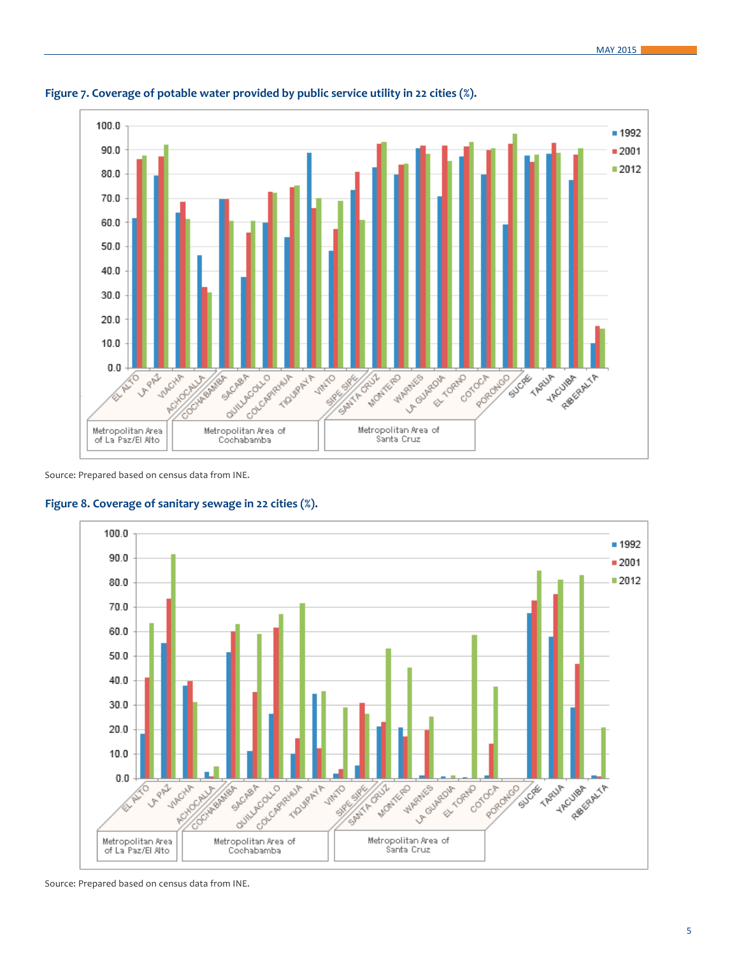

**Figure 7. Coverage of potable water provided by public service utility in 22 cities (%).**

Source: Prepared based on census data from INE.





Source: Prepared based on census data from INE.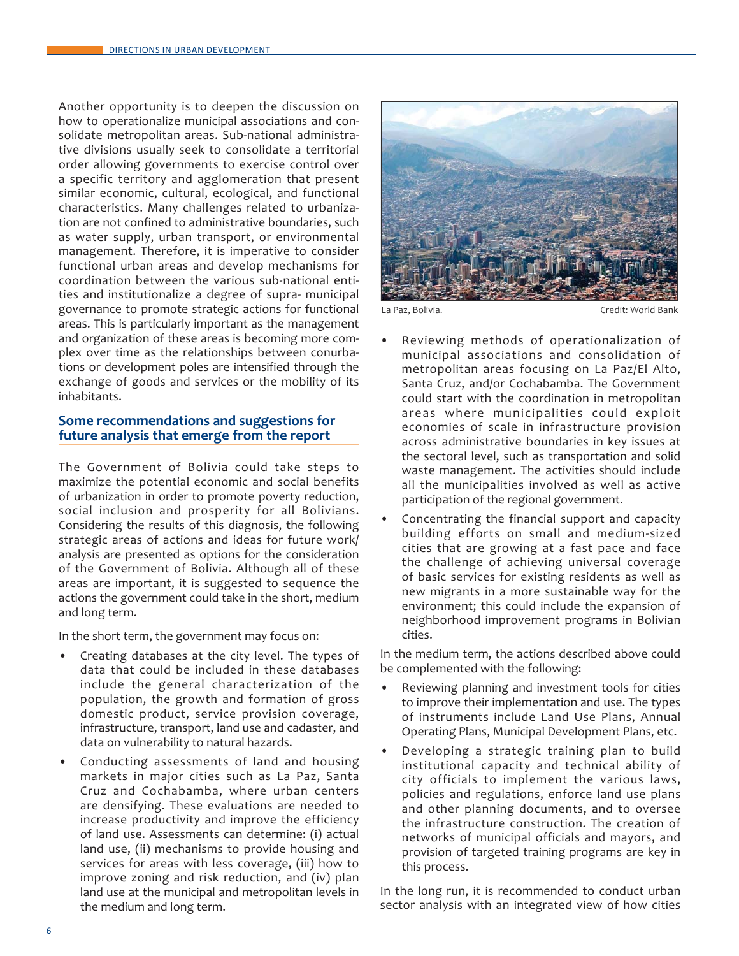Another opportunity is to deepen the discussion on how to operationalize municipal associations and consolidate metropolitan areas. Sub-national administrative divisions usually seek to consolidate a territorial order allowing governments to exercise control over a specific territory and agglomeration that present similar economic, cultural, ecological, and functional characteristics. Many challenges related to urbanization are not confined to administrative boundaries, such as water supply, urban transport, or environmental management. Therefore, it is imperative to consider functional urban areas and develop mechanisms for coordination between the various sub-national entities and institutionalize a degree of supra- municipal governance to promote strategic actions for functional areas. This is particularly important as the management and organization of these areas is becoming more complex over time as the relationships between conurbations or development poles are intensified through the exchange of goods and services or the mobility of its inhabitants.

# **Some recommendations and suggestions for future analysis that emerge from the report**

The Government of Bolivia could take steps to maximize the potential economic and social benefits of urbanization in order to promote poverty reduction, social inclusion and prosperity for all Bolivians. Considering the results of this diagnosis, the following strategic areas of actions and ideas for future work/ analysis are presented as options for the consideration of the Government of Bolivia. Although all of these areas are important, it is suggested to sequence the actions the government could take in the short, medium and long term.

In the short term, the government may focus on:

- Creating databases at the city level. The types of data that could be included in these databases include the general characterization of the population, the growth and formation of gross domestic product, service provision coverage, infrastructure, transport, land use and cadaster, and data on vulnerability to natural hazards.
- Conducting assessments of land and housing markets in major cities such as La Paz, Santa Cruz and Cochabamba, where urban centers are densifying. These evaluations are needed to increase productivity and improve the efficiency of land use. Assessments can determine: (i) actual land use, (ii) mechanisms to provide housing and services for areas with less coverage, (iii) how to improve zoning and risk reduction, and (iv) plan land use at the municipal and metropolitan levels in the medium and long term.



La Paz, Bolivia. Credit: World Bank

- Reviewing methods of operationalization of municipal associations and consolidation of metropolitan areas focusing on La Paz/El Alto, Santa Cruz, and/or Cochabamba. The Government could start with the coordination in metropolitan areas where municipalities could exploit economies of scale in infrastructure provision across administrative boundaries in key issues at the sectoral level, such as transportation and solid waste management. The activities should include all the municipalities involved as well as active participation of the regional government.
- Concentrating the financial support and capacity building efforts on small and medium-sized cities that are growing at a fast pace and face the challenge of achieving universal coverage of basic services for existing residents as well as new migrants in a more sustainable way for the environment; this could include the expansion of neighborhood improvement programs in Bolivian cities.

In the medium term, the actions described above could be complemented with the following:

- Reviewing planning and investment tools for cities to improve their implementation and use. The types of instruments include Land Use Plans, Annual Operating Plans, Municipal Development Plans, etc.
- Developing a strategic training plan to build institutional capacity and technical ability of city officials to implement the various laws, policies and regulations, enforce land use plans and other planning documents, and to oversee the infrastructure construction. The creation of networks of municipal officials and mayors, and provision of targeted training programs are key in this process.

In the long run, it is recommended to conduct urban sector analysis with an integrated view of how cities